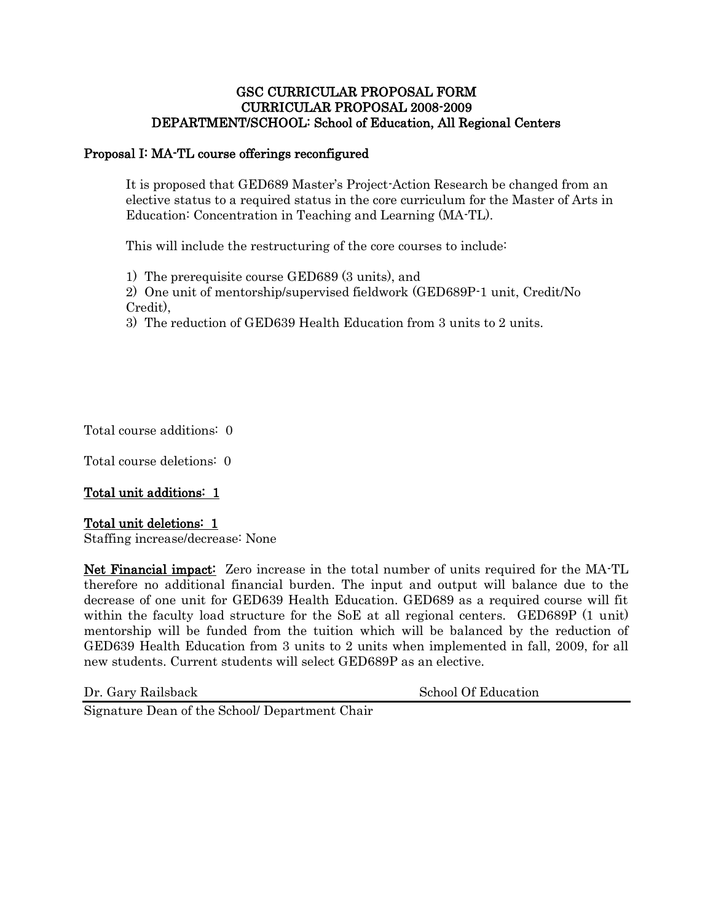### GSC CURRICULAR PROPOSAL FORM CURRICULAR PROPOSAL 2008-2009 DEPARTMENT/SCHOOL: School of Education, All Regional Centers

### Proposal I: MA-TL course offerings reconfigured

It is proposed that GED689 Master's Project-Action Research be changed from an elective status to a required status in the core curriculum for the Master of Arts in Education: Concentration in Teaching and Learning (MA-TL).

This will include the restructuring of the core courses to include:

1) The prerequisite course GED689 (3 units), and

2) One unit of mentorship/supervised fieldwork (GED689P-1 unit, Credit/No Credit),

3) The reduction of GED639 Health Education from 3 units to 2 units.

Total course additions: 0

Total course deletions: 0

## Total unit additions: 1

#### Total unit deletions: 1

Staffing increase/decrease: None

Net Financial impact: Zero increase in the total number of units required for the MA-TL therefore no additional financial burden. The input and output will balance due to the decrease of one unit for GED639 Health Education. GED689 as a required course will fit within the faculty load structure for the SoE at all regional centers. GED689P (1 unit) mentorship will be funded from the tuition which will be balanced by the reduction of GED639 Health Education from 3 units to 2 units when implemented in fall, 2009, for all new students. Current students will select GED689P as an elective.

Dr. Gary Railsback School Of Education

Signature Dean of the School/ Department Chair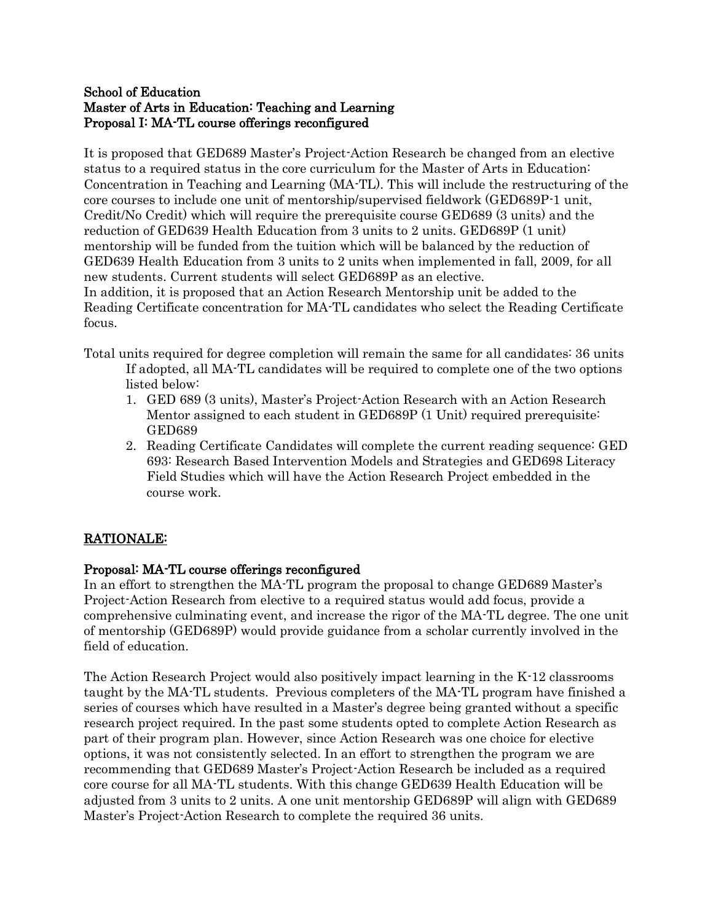## School of Education Master of Arts in Education: Teaching and Learning Proposal I: MA-TL course offerings reconfigured

It is proposed that GED689 Master's Project-Action Research be changed from an elective status to a required status in the core curriculum for the Master of Arts in Education: Concentration in Teaching and Learning (MA-TL). This will include the restructuring of the core courses to include one unit of mentorship/supervised fieldwork (GED689P-1 unit, Credit/No Credit) which will require the prerequisite course GED689 (3 units) and the reduction of GED639 Health Education from 3 units to 2 units. GED689P (1 unit) mentorship will be funded from the tuition which will be balanced by the reduction of GED639 Health Education from 3 units to 2 units when implemented in fall, 2009, for all new students. Current students will select GED689P as an elective.

In addition, it is proposed that an Action Research Mentorship unit be added to the Reading Certificate concentration for MA-TL candidates who select the Reading Certificate focus.

Total units required for degree completion will remain the same for all candidates: 36 units If adopted, all MA-TL candidates will be required to complete one of the two options listed below:

- 1. GED 689 (3 units), Master's Project-Action Research with an Action Research Mentor assigned to each student in GED689P (1 Unit) required prerequisite: GED689
- 2. Reading Certificate Candidates will complete the current reading sequence: GED 693: Research Based Intervention Models and Strategies and GED698 Literacy Field Studies which will have the Action Research Project embedded in the course work.

# RATIONALE:

# Proposal: MA-TL course offerings reconfigured

In an effort to strengthen the MA-TL program the proposal to change GED689 Master's Project-Action Research from elective to a required status would add focus, provide a comprehensive culminating event, and increase the rigor of the MA-TL degree. The one unit of mentorship (GED689P) would provide guidance from a scholar currently involved in the field of education.

The Action Research Project would also positively impact learning in the K-12 classrooms taught by the MA-TL students. Previous completers of the MA-TL program have finished a series of courses which have resulted in a Master's degree being granted without a specific research project required. In the past some students opted to complete Action Research as part of their program plan. However, since Action Research was one choice for elective options, it was not consistently selected. In an effort to strengthen the program we are recommending that GED689 Master's Project-Action Research be included as a required core course for all MA-TL students. With this change GED639 Health Education will be adjusted from 3 units to 2 units. A one unit mentorship GED689P will align with GED689 Master's Project-Action Research to complete the required 36 units.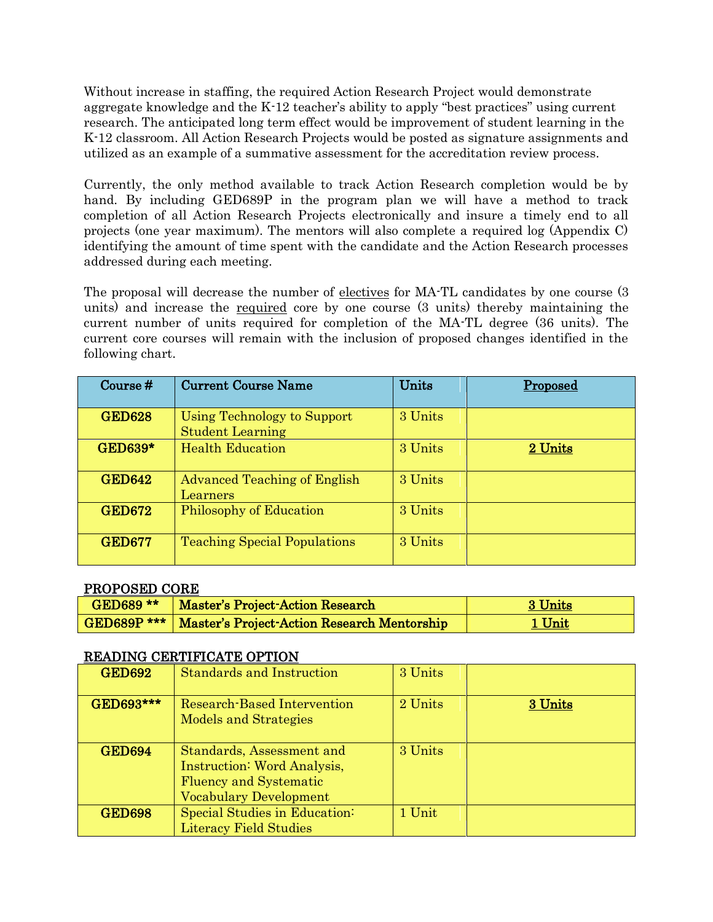Without increase in staffing, the required Action Research Project would demonstrate aggregate knowledge and the K-12 teacher's ability to apply "best practices" using current research. The anticipated long term effect would be improvement of student learning in the K-12 classroom. All Action Research Projects would be posted as signature assignments and utilized as an example of a summative assessment for the accreditation review process.

Currently, the only method available to track Action Research completion would be by hand. By including GED689P in the program plan we will have a method to track completion of all Action Research Projects electronically and insure a timely end to all projects (one year maximum). The mentors will also complete a required log (Appendix C) identifying the amount of time spent with the candidate and the Action Research processes addressed during each meeting.

The proposal will decrease the number of <u>electives</u> for MA-TL candidates by one course (3) units) and increase the required core by one course (3 units) thereby maintaining the current number of units required for completion of the MA-TL degree (36 units). The current core courses will remain with the inclusion of proposed changes identified in the following chart.

| Course $#$     | <b>Current Course Name</b>                             | Units   | Proposed |
|----------------|--------------------------------------------------------|---------|----------|
| <b>GED628</b>  | Using Technology to Support<br><b>Student Learning</b> | 3 Units |          |
| <b>GED639*</b> | <b>Health Education</b>                                | 3 Units | 2 Units  |
| <b>GED642</b>  | <b>Advanced Teaching of English</b><br>Learners        | 3 Units |          |
| <b>GED672</b>  | <b>Philosophy of Education</b>                         | 3 Units |          |
| <b>GED677</b>  | <b>Teaching Special Populations</b>                    | 3 Units |          |

#### PROPOSED CORE

| GED689 ** | Master's Project-Action Research                                 | 3 Units |
|-----------|------------------------------------------------------------------|---------|
|           | <b>GED689P ***</b>   Master's Project-Action Research Mentorship | 1 Unit  |

#### READING CERTIFICATE OPTION

| <b>GED692</b> | <b>Standards and Instruction</b>                                                                                                  | 3 Units |         |
|---------------|-----------------------------------------------------------------------------------------------------------------------------------|---------|---------|
| GED693***     | Research-Based Intervention<br><b>Models and Strategies</b>                                                                       | 2 Units | 3 Units |
| <b>GED694</b> | Standards, Assessment and<br><b>Instruction: Word Analysis,</b><br><b>Fluency and Systematic</b><br><b>Vocabulary Development</b> | 3 Units |         |
| <b>GED698</b> | Special Studies in Education:<br><b>Literacy Field Studies</b>                                                                    | 1 Unit  |         |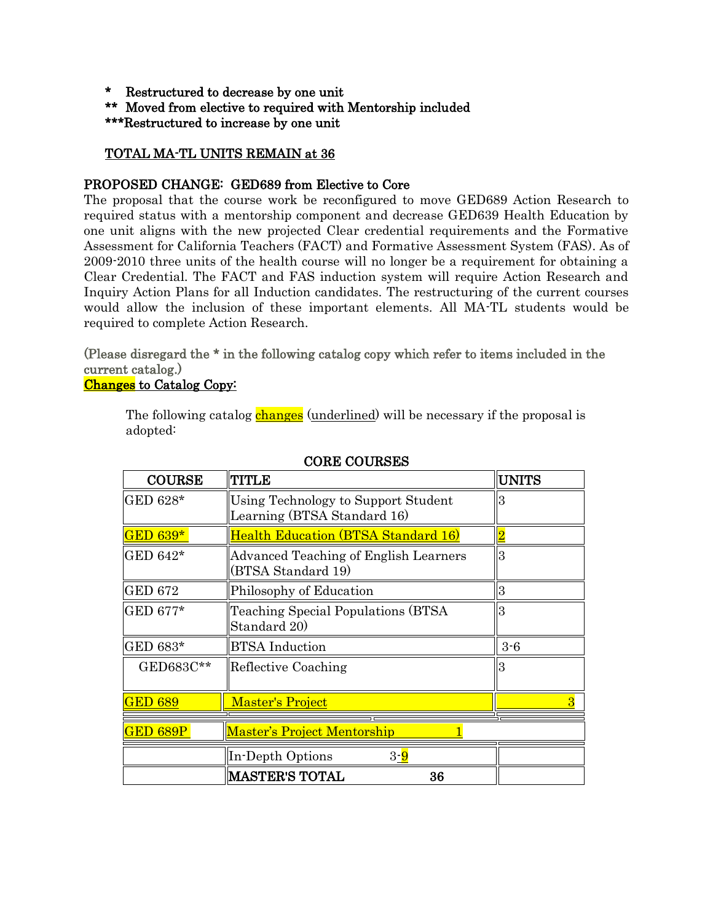- \* Restructured to decrease by one unit
- \*\* Moved from elective to required with Mentorship included

\*\*\*Restructured to increase by one unit

## TOTAL MA-TL UNITS REMAIN at 36

## PROPOSED CHANGE: GED689 from Elective to Core

The proposal that the course work be reconfigured to move GED689 Action Research to required status with a mentorship component and decrease GED639 Health Education by one unit aligns with the new projected Clear credential requirements and the Formative Assessment for California Teachers (FACT) and Formative Assessment System (FAS). As of 2009-2010 three units of the health course will no longer be a requirement for obtaining a Clear Credential. The FACT and FAS induction system will require Action Research and Inquiry Action Plans for all Induction candidates. The restructuring of the current courses would allow the inclusion of these important elements. All MA-TL students would be required to complete Action Research.

# (Please disregard the \* in the following catalog copy which refer to items included in the current catalog.)

## Changes to Catalog Copy:

The following catalog **changes** (underlined) will be necessary if the proposal is adopted:

| <b>COURSE</b>  | TITLE                                                              | <b>UNITS</b>   |
|----------------|--------------------------------------------------------------------|----------------|
| GED 628*       | Using Technology to Support Student<br>Learning (BTSA Standard 16) | 3              |
| GED 639*       | <b>Health Education (BTSA Standard 16)</b>                         |                |
| GED 642*       | Advanced Teaching of English Learners<br>(BTSA Standard 19)        | 3              |
| <b>GED 672</b> | Philosophy of Education                                            | 3              |
| GED 677*       | Teaching Special Populations (BTSA)<br>Standard 20)                | 3              |
| GED 683*       | <b>BTSA</b> Induction                                              | $3-6$          |
| GED683C**      | Reflective Coaching                                                | 3              |
| <b>GED 689</b> | Master's Project                                                   | $\overline{3}$ |
| GED 689P       | Master's Project Mentorship                                        |                |
|                | In-Depth Options<br>3- <mark>9</mark>                              |                |
|                | <b>MASTER'S TOTAL</b><br>36                                        |                |

# CORE COURSES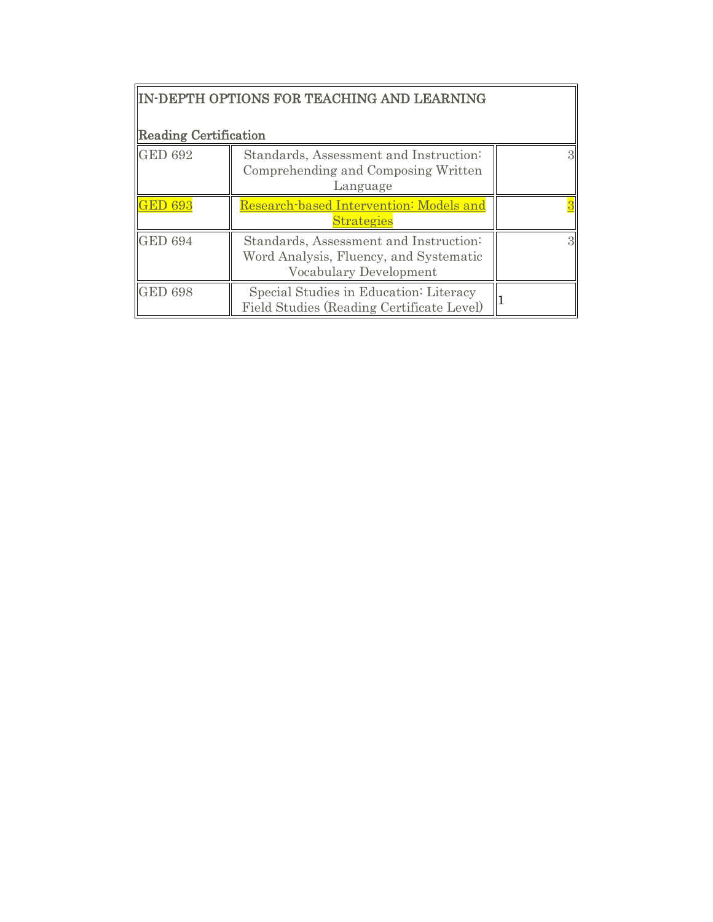| <b>Reading Certification</b> | IN-DEPTH OPTIONS FOR TEACHING AND LEARNING                                                                 |  |
|------------------------------|------------------------------------------------------------------------------------------------------------|--|
| <b>GED 692</b>               | Standards, Assessment and Instruction:<br>Comprehending and Composing Written<br>Language                  |  |
|                              | Research-based Intervention: Models and<br><b>Strategies</b>                                               |  |
| <b>GED 694</b>               | Standards, Assessment and Instruction:<br>Word Analysis, Fluency, and Systematic<br>Vocabulary Development |  |
| <b>GED 698</b>               | Special Studies in Education: Literacy<br>Field Studies (Reading Certificate Level)                        |  |